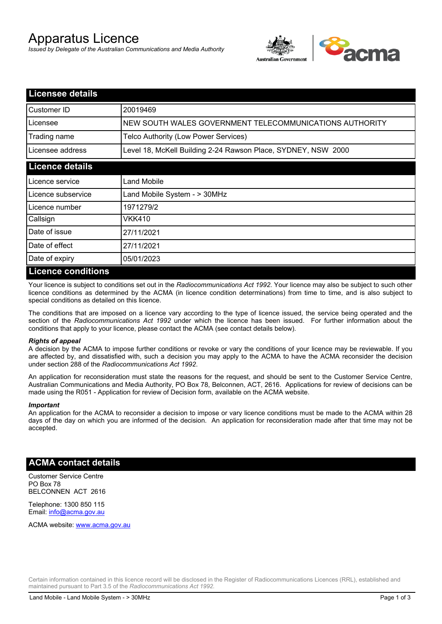# Apparatus Licence

*Issued by Delegate of the Australian Communications and Media Authority*



| <b>Licensee details</b> |                                                               |
|-------------------------|---------------------------------------------------------------|
| Customer ID             | 20019469                                                      |
| Licensee                | NEW SOUTH WALES GOVERNMENT TELECOMMUNICATIONS AUTHORITY       |
| Trading name            | Telco Authority (Low Power Services)                          |
| Licensee address        | Level 18, McKell Building 2-24 Rawson Place, SYDNEY, NSW 2000 |
| <b>Licence details</b>  |                                                               |
| l Licence service       | Land Mobile                                                   |
| Licence subservice      | Land Mobile System - > 30MHz                                  |
| Licence number          | 1971279/2                                                     |
| Callsign                | VKK410                                                        |
| Date of issue           | 27/11/2021                                                    |
| Date of effect          | 27/11/2021                                                    |
| Date of expiry          | 05/01/2023                                                    |
| Licence conditions      |                                                               |

## **Licence conditions**

Your licence is subject to conditions set out in the *Radiocommunications Act 1992*. Your licence may also be subject to such other licence conditions as determined by the ACMA (in licence condition determinations) from time to time, and is also subject to special conditions as detailed on this licence.

The conditions that are imposed on a licence vary according to the type of licence issued, the service being operated and the section of the *Radiocommunications Act 1992* under which the licence has been issued. For further information about the conditions that apply to your licence, please contact the ACMA (see contact details below).

#### *Rights of appeal*

A decision by the ACMA to impose further conditions or revoke or vary the conditions of your licence may be reviewable. If you are affected by, and dissatisfied with, such a decision you may apply to the ACMA to have the ACMA reconsider the decision under section 288 of the *Radiocommunications Act 1992*.

An application for reconsideration must state the reasons for the request, and should be sent to the Customer Service Centre, Australian Communications and Media Authority, PO Box 78, Belconnen, ACT, 2616. Applications for review of decisions can be made using the R051 - Application for review of Decision form, available on the ACMA website.

#### *Important*

An application for the ACMA to reconsider a decision to impose or vary licence conditions must be made to the ACMA within 28 days of the day on which you are informed of the decision. An application for reconsideration made after that time may not be accepted.

### **ACMA contact details**

Customer Service Centre PO Box 78 BELCONNEN ACT 2616

Telephone: 1300 850 115 Email: info@acma.gov.au

ACMA website: www.acma.gov.au

Certain information contained in this licence record will be disclosed in the Register of Radiocommunications Licences (RRL), established and maintained pursuant to Part 3.5 of the *Radiocommunications Act 1992.*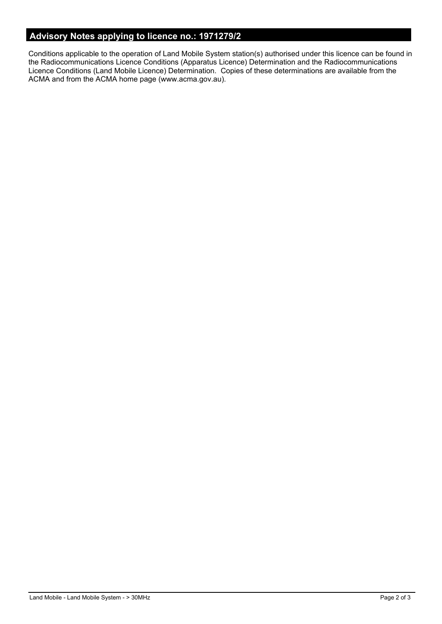# **Advisory Notes applying to licence no.: 1971279/2**

Conditions applicable to the operation of Land Mobile System station(s) authorised under this licence can be found in the Radiocommunications Licence Conditions (Apparatus Licence) Determination and the Radiocommunications Licence Conditions (Land Mobile Licence) Determination. Copies of these determinations are available from the ACMA and from the ACMA home page (www.acma.gov.au).